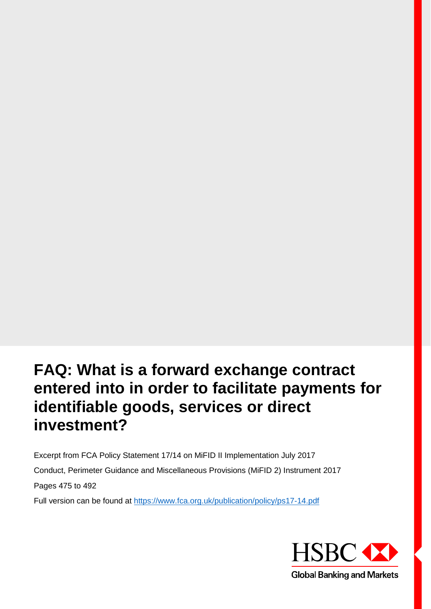# **FAQ: What is a forward exchange contract entered into in order to facilitate payments for identifiable goods, services or direct investment?**

Excerpt from FCA Policy Statement 17/14 on MiFID II Implementation July 2017 Conduct, Perimeter Guidance and Miscellaneous Provisions (MiFID 2) Instrument 2017 Pages 475 to 492 Full version can be found at https://www.fca.org.uk/publication/policy/ps17-14.pdf

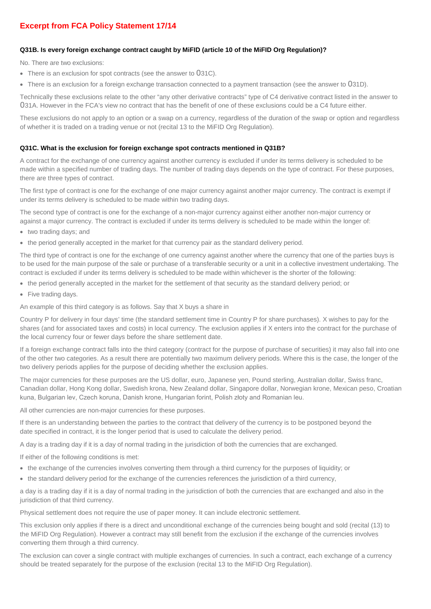# **Excerpt from FCA Policy Statement 17/14**

# **Q31B. Is every foreign exchange contract caught by MiFID (article 10 of the MiFID Org Regulation)?**

No. There are two exclusions:

- There is an exclusion for spot contracts (see the answer to 031C).
- There is an exclusion for a foreign exchange transaction connected to a payment transaction (see the answer to 031D).

Technically these exclusions relate to the other "any other derivative contracts" type of C4 derivative contract listed in the answer to 031A. However in the FCA's view no contract that has the benefit of one of these exclusions could be a C4 future either.

These exclusions do not apply to an option or a swap on a currency, regardless of the duration of the swap or option and regardless of whether it is traded on a trading venue or not (recital 13 to the MiFID Org Regulation).

#### **Q31C. What is the exclusion for foreign exchange spot contracts mentioned in Q31B?**

A contract for the exchange of one currency against another currency is excluded if under its terms delivery is scheduled to be made within a specified number of trading days. The number of trading days depends on the type of contract. For these purposes, there are three types of contract.

The first type of contract is one for the exchange of one major currency against another major currency. The contract is exempt if under its terms delivery is scheduled to be made within two trading days.

The second type of contract is one for the exchange of a non-major currency against either another non-major currency or against a major currency. The contract is excluded if under its terms delivery is scheduled to be made within the longer of:

- two trading days; and
- the period generally accepted in the market for that currency pair as the standard delivery period.

The third type of contract is one for the exchange of one currency against another where the currency that one of the parties buys is to be used for the main purpose of the sale or purchase of a transferable security or a unit in a collective investment undertaking. The contract is excluded if under its terms delivery is scheduled to be made within whichever is the shorter of the following:

- the period generally accepted in the market for the settlement of that security as the standard delivery period; or
- Five trading days.

An example of this third category is as follows. Say that X buys a share in

Country P for delivery in four days' time (the standard settlement time in Country P for share purchases). X wishes to pay for the shares (and for associated taxes and costs) in local currency. The exclusion applies if X enters into the contract for the purchase of the local currency four or fewer days before the share settlement date.

If a foreign exchange contract falls into the third category (contract for the purpose of purchase of securities) it may also fall into one of the other two categories. As a result there are potentially two maximum delivery periods. Where this is the case, the longer of the two delivery periods applies for the purpose of deciding whether the exclusion applies.

The major currencies for these purposes are the US dollar, euro, Japanese yen, Pound sterling, Australian dollar, Swiss franc, Canadian dollar, Hong Kong dollar, Swedish krona, New Zealand dollar, Singapore dollar, Norwegian krone, Mexican peso, Croatian kuna, Bulgarian lev, Czech koruna, Danish krone, Hungarian forint, Polish złoty and Romanian leu.

All other currencies are non-major currencies for these purposes.

If there is an understanding between the parties to the contract that delivery of the currency is to be postponed beyond the date specified in contract, it is the longer period that is used to calculate the delivery period.

A day is a trading day if it is a day of normal trading in the jurisdiction of both the currencies that are exchanged.

If either of the following conditions is met:

- the exchange of the currencies involves converting them through a third currency for the purposes of liquidity; or
- the standard delivery period for the exchange of the currencies references the jurisdiction of a third currency,

a day is a trading day if it is a day of normal trading in the jurisdiction of both the currencies that are exchanged and also in the jurisdiction of that third currency.

Physical settlement does not require the use of paper money. It can include electronic settlement.

This exclusion only applies if there is a direct and unconditional exchange of the currencies being bought and sold (recital (13) to the MiFID Org Regulation). However a contract may still benefit from the exclusion if the exchange of the currencies involves converting them through a third currency.

The exclusion can cover a single contract with multiple exchanges of currencies. In such a contract, each exchange of a currency should be treated separately for the purpose of the exclusion (recital 13 to the MiFID Org Regulation).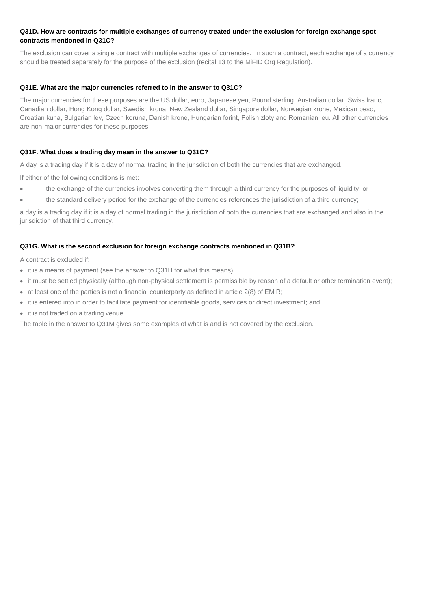#### **Q31D. How are contracts for multiple exchanges of currency treated under the exclusion for foreign exchange spot contracts mentioned in Q31C?**

The exclusion can cover a single contract with multiple exchanges of currencies. In such a contract, each exchange of a currency should be treated separately for the purpose of the exclusion (recital 13 to the MiFID Org Regulation).

#### **Q31E. What are the major currencies referred to in the answer to Q31C?**

The major currencies for these purposes are the US dollar, euro, Japanese yen, Pound sterling, Australian dollar, Swiss franc, Canadian dollar, Hong Kong dollar, Swedish krona, New Zealand dollar, Singapore dollar, Norwegian krone, Mexican peso, Croatian kuna, Bulgarian lev, Czech koruna, Danish krone, Hungarian forint, Polish złoty and Romanian leu. All other currencies are non-major currencies for these purposes.

# **Q31F. What does a trading day mean in the answer to Q31C?**

A day is a trading day if it is a day of normal trading in the jurisdiction of both the currencies that are exchanged.

If either of the following conditions is met:

- the exchange of the currencies involves converting them through a third currency for the purposes of liquidity; or
- the standard delivery period for the exchange of the currencies references the jurisdiction of a third currency;

a day is a trading day if it is a day of normal trading in the jurisdiction of both the currencies that are exchanged and also in the jurisdiction of that third currency.

#### **Q31G. What is the second exclusion for foreign exchange contracts mentioned in Q31B?**

A contract is excluded if:

- it is a means of payment (see the answer to Q31H for what this means);
- it must be settled physically (although non-physical settlement is permissible by reason of a default or other termination event);
- at least one of the parties is not a financial counterparty as defined in article 2(8) of EMIR;
- it is entered into in order to facilitate payment for identifiable goods, services or direct investment; and
- it is not traded on a trading venue.

The table in the answer to Q31M gives some examples of what is and is not covered by the exclusion.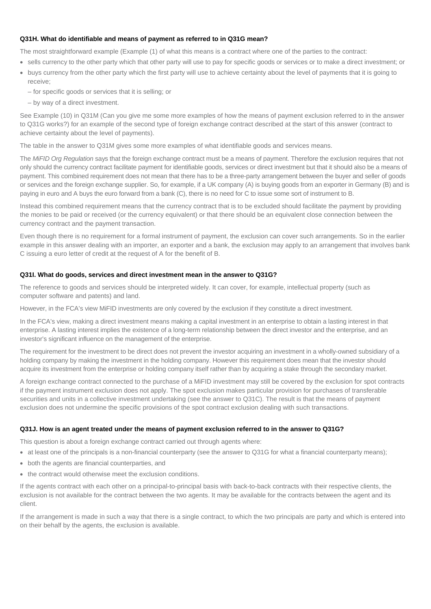#### **Q31H. What do identifiable and means of payment as referred to in Q31G mean?**

The most straightforward example (Example (1) of what this means is a contract where one of the parties to the contract:

- sells currency to the other party which that other party will use to pay for specific goods or services or to make a direct investment; or
- buys currency from the other party which the first party will use to achieve certainty about the level of payments that it is going to receive;
	- for specific goods or services that it is selling; or
	- by way of a direct investment.

See Example (10) in Q31M (Can you give me some more examples of how the means of payment exclusion referred to in the answer to Q31G works?) for an example of the second type of foreign exchange contract described at the start of this answer (contract to achieve certainty about the level of payments).

The table in the answer to Q31M gives some more examples of what identifiable goods and services means.

The *MiFID Org Regulation* says that the foreign exchange contract must be a means of payment. Therefore the exclusion requires that not only should the currency contract facilitate payment for identifiable goods, services or direct investment but that it should also be a means of payment. This combined requirement does not mean that there has to be a three-party arrangement between the buyer and seller of goods or services and the foreign exchange supplier. So, for example, if a UK company (A) is buying goods from an exporter in Germany (B) and is paying in euro and A buys the euro forward from a bank (C), there is no need for C to issue some sort of instrument to B.

Instead this combined requirement means that the currency contract that is to be excluded should facilitate the payment by providing the monies to be paid or received (or the currency equivalent) or that there should be an equivalent close connection between the currency contract and the payment transaction.

Even though there is no requirement for a formal instrument of payment, the exclusion can cover such arrangements. So in the earlier example in this answer dealing with an importer, an exporter and a bank, the exclusion may apply to an arrangement that involves bank C issuing a euro letter of credit at the request of A for the benefit of B.

#### **Q31I. What do goods, services and direct investment mean in the answer to Q31G?**

The reference to goods and services should be interpreted widely. It can cover, for example, intellectual property (such as computer software and patents) and land.

However, in the FCA's view MiFID investments are only covered by the exclusion if they constitute a direct investment.

In the FCA's view, making a direct investment means making a capital investment in an enterprise to obtain a lasting interest in that enterprise. A lasting interest implies the existence of a long-term relationship between the direct investor and the enterprise, and an investor's significant influence on the management of the enterprise.

The requirement for the investment to be direct does not prevent the investor acquiring an investment in a wholly-owned subsidiary of a holding company by making the investment in the holding company. However this requirement does mean that the investor should acquire its investment from the enterprise or holding company itself rather than by acquiring a stake through the secondary market.

A foreign exchange contract connected to the purchase of a MiFID investment may still be covered by the exclusion for spot contracts if the payment instrument exclusion does not apply. The spot exclusion makes particular provision for purchases of transferable securities and units in a collective investment undertaking (see the answer to Q31C). The result is that the means of payment exclusion does not undermine the specific provisions of the spot contract exclusion dealing with such transactions.

#### **Q31J. How is an agent treated under the means of payment exclusion referred to in the answer to Q31G?**

This question is about a foreign exchange contract carried out through agents where:

- at least one of the principals is a non-financial counterparty (see the answer to Q31G for what a financial counterparty means);
- both the agents are financial counterparties, and
- the contract would otherwise meet the exclusion conditions.

If the agents contract with each other on a principal-to-principal basis with back-to-back contracts with their respective clients, the exclusion is not available for the contract between the two agents. It may be available for the contracts between the agent and its client.

If the arrangement is made in such a way that there is a single contract, to which the two principals are party and which is entered into on their behalf by the agents, the exclusion is available.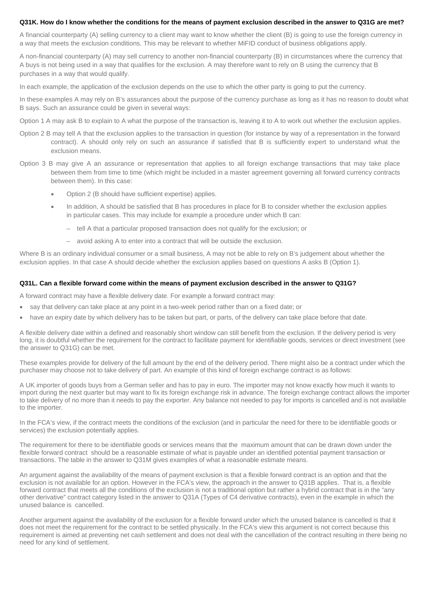#### **Q31K. How do I know whether the conditions for the means of payment exclusion described in the answer to Q31G are met?**

A financial counterparty (A) selling currency to a client may want to know whether the client (B) is going to use the foreign currency in a way that meets the exclusion conditions. This may be relevant to whether MiFID conduct of business obligations apply.

A non-financial counterparty (A) may sell currency to another non-financial counterparty (B) in circumstances where the currency that A buys is not being used in a way that qualifies for the exclusion. A may therefore want to rely on B using the currency that B purchases in a way that would qualify.

In each example, the application of the exclusion depends on the use to which the other party is going to put the currency.

In these examples A may rely on B's assurances about the purpose of the currency purchase as long as it has no reason to doubt what B says. Such an assurance could be given in several ways:

- Option 1 A may ask B to explain to A what the purpose of the transaction is, leaving it to A to work out whether the exclusion applies.
- Option 2 B may tell A that the exclusion applies to the transaction in question (for instance by way of a representation in the forward contract). A should only rely on such an assurance if satisfied that B is sufficiently expert to understand what the exclusion means.
- Option 3 B may give A an assurance or representation that applies to all foreign exchange transactions that may take place between them from time to time (which might be included in a master agreement governing all forward currency contracts between them). In this case:
	- Option 2 (B should have sufficient expertise) applies.
	- In addition, A should be satisfied that B has procedures in place for B to consider whether the exclusion applies in particular cases. This may include for example a procedure under which B can:
		- tell A that a particular proposed transaction does not qualify for the exclusion; or
		- avoid asking A to enter into a contract that will be outside the exclusion.

Where B is an ordinary individual consumer or a small business, A may not be able to rely on B's judgement about whether the exclusion applies. In that case A should decide whether the exclusion applies based on questions A asks B (Option 1).

#### **Q31L. Can a flexible forward come within the means of payment exclusion described in the answer to Q31G?**

A forward contract may have a flexible delivery date. For example a forward contract may:

- say that delivery can take place at any point in a two-week period rather than on a fixed date; or
- have an expiry date by which delivery has to be taken but part, or parts, of the delivery can take place before that date.

A flexible delivery date within a defined and reasonably short window can still benefit from the exclusion. If the delivery period is very long, it is doubtful whether the requirement for the contract to facilitate payment for identifiable goods, services or direct investment (see the answer to Q31G) can be met.

These examples provide for delivery of the full amount by the end of the delivery period. There might also be a contract under which the purchaser may choose not to take delivery of part. An example of this kind of foreign exchange contract is as follows:

A UK importer of goods buys from a German seller and has to pay in euro. The importer may not know exactly how much it wants to import during the next quarter but may want to fix its foreign exchange risk in advance. The foreign exchange contract allows the importer to take delivery of no more than it needs to pay the exporter. Any balance not needed to pay for imports is cancelled and is not available to the importer.

In the FCA's view, if the contract meets the conditions of the exclusion (and in particular the need for there to be identifiable goods or services) the exclusion potentially applies.

The requirement for there to be identifiable goods or services means that the maximum amount that can be drawn down under the flexible forward contract should be a reasonable estimate of what is payable under an identified potential payment transaction or transactions. The table in the answer to Q31M gives examples of what a reasonable estimate means.

An argument against the availability of the means of payment exclusion is that a flexible forward contract is an option and that the exclusion is not available for an option. However in the FCA's view, the approach in the answer to Q31B applies. That is, a flexible forward contract that meets all the conditions of the exclusion is not a traditional option but rather a hybrid contract that is in the "any other derivative" contract category listed in the answer to Q31A (Types of C4 derivative contracts), even in the example in which the unused balance is cancelled.

Another argument against the availability of the exclusion for a flexible forward under which the unused balance is cancelled is that it does not meet the requirement for the contract to be settled physically. In the FCA's view this argument is not correct because this requirement is aimed at preventing net cash settlement and does not deal with the cancellation of the contract resulting in there being no need for any kind of settlement.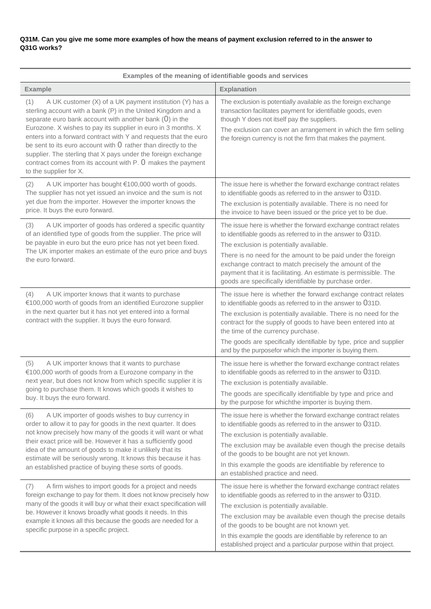# **Q31M. Can you give me some more examples of how the means of payment exclusion referred to in the answer to Q31G works?**

| Examples of the meaning of identifiable goods and services                                                                                                                                                                                                                                                                                                                                                                                                                                                                                                     |                                                                                                                                                                                                                                                                                                                                                                                                                                              |  |
|----------------------------------------------------------------------------------------------------------------------------------------------------------------------------------------------------------------------------------------------------------------------------------------------------------------------------------------------------------------------------------------------------------------------------------------------------------------------------------------------------------------------------------------------------------------|----------------------------------------------------------------------------------------------------------------------------------------------------------------------------------------------------------------------------------------------------------------------------------------------------------------------------------------------------------------------------------------------------------------------------------------------|--|
| <b>Example</b>                                                                                                                                                                                                                                                                                                                                                                                                                                                                                                                                                 | <b>Explanation</b>                                                                                                                                                                                                                                                                                                                                                                                                                           |  |
| A UK customer (X) of a UK payment institution (Y) has a<br>(1)<br>sterling account with a bank (P) in the United Kingdom and a<br>separate euro bank account with another bank $(0)$ in the<br>Eurozone. X wishes to pay its supplier in euro in 3 months. X<br>enters into a forward contract with Y and requests that the euro<br>be sent to its euro account with $0$ rather than directly to the<br>supplier. The sterling that X pays under the foreign exchange<br>contract comes from its account with P. 0 makes the payment<br>to the supplier for X. | The exclusion is potentially available as the foreign exchange<br>transaction facilitates payment for identifiable goods, even<br>though Y does not itself pay the suppliers.<br>The exclusion can cover an arrangement in which the firm selling<br>the foreign currency is not the firm that makes the payment.                                                                                                                            |  |
| A UK importer has bought €100,000 worth of goods.<br>(2)<br>The supplier has not yet issued an invoice and the sum is not<br>yet due from the importer. However the importer knows the<br>price. It buys the euro forward.                                                                                                                                                                                                                                                                                                                                     | The issue here is whether the forward exchange contract relates<br>to identifiable goods as referred to in the answer to 031D.<br>The exclusion is potentially available. There is no need for<br>the invoice to have been issued or the price yet to be due.                                                                                                                                                                                |  |
| A UK importer of goods has ordered a specific quantity<br>(3)<br>of an identified type of goods from the supplier. The price will<br>be payable in euro but the euro price has not yet been fixed.<br>The UK importer makes an estimate of the euro price and buys<br>the euro forward.                                                                                                                                                                                                                                                                        | The issue here is whether the forward exchange contract relates<br>to identifiable goods as referred to in the answer to 031D.<br>The exclusion is potentially available.<br>There is no need for the amount to be paid under the foreign<br>exchange contract to match precisely the amount of the<br>payment that it is facilitating. An estimate is permissible. The<br>goods are specifically identifiable by purchase order.            |  |
| A UK importer knows that it wants to purchase<br>(4)<br>€100,000 worth of goods from an identified Eurozone supplier<br>in the next quarter but it has not yet entered into a formal<br>contract with the supplier. It buys the euro forward.                                                                                                                                                                                                                                                                                                                  | The issue here is whether the forward exchange contract relates<br>to identifiable goods as referred to in the answer to 031D.<br>The exclusion is potentially available. There is no need for the<br>contract for the supply of goods to have been entered into at<br>the time of the currency purchase.<br>The goods are specifically identifiable by type, price and supplier<br>and by the purposefor which the importer is buying them. |  |
| A UK importer knows that it wants to purchase<br>(5)<br>€100,000 worth of goods from a Eurozone company in the<br>next year, but does not know from which specific supplier it is<br>going to purchase them. It knows which goods it wishes to<br>buy. It buys the euro forward.                                                                                                                                                                                                                                                                               | The issue here is whether the forward exchange contract relates<br>to identifiable goods as referred to in the answer to 031D.<br>The exclusion is potentially available.<br>The goods are specifically identifiable by type and price and<br>by the purpose for whichthe importer is buying them.                                                                                                                                           |  |
| A UK importer of goods wishes to buy currency in<br>(6)<br>order to allow it to pay for goods in the next quarter. It does<br>not know precisely how many of the goods it will want or what<br>their exact price will be. However it has a sufficiently good<br>idea of the amount of goods to make it unlikely that its<br>estimate will be seriously wrong. It knows this because it has<br>an established practice of buying these sorts of goods.                                                                                                          | The issue here is whether the forward exchange contract relates<br>to identifiable goods as referred to in the answer to 031D.<br>The exclusion is potentially available.<br>The exclusion may be available even though the precise details<br>of the goods to be bought are not yet known.<br>In this example the goods are identifiable by reference to<br>an established practice and need.                                               |  |
| A firm wishes to import goods for a project and needs<br>(7)<br>foreign exchange to pay for them. It does not know precisely how<br>many of the goods it will buy or what their exact specification will<br>be. However it knows broadly what goods it needs. In this<br>example it knows all this because the goods are needed for a<br>specific purpose in a specific project.                                                                                                                                                                               | The issue here is whether the forward exchange contract relates<br>to identifiable goods as referred to in the answer to 031D.<br>The exclusion is potentially available.<br>The exclusion may be available even though the precise details<br>of the goods to be bought are not known yet.<br>In this example the goods are identifiable by reference to an<br>established project and a particular purpose within that project.            |  |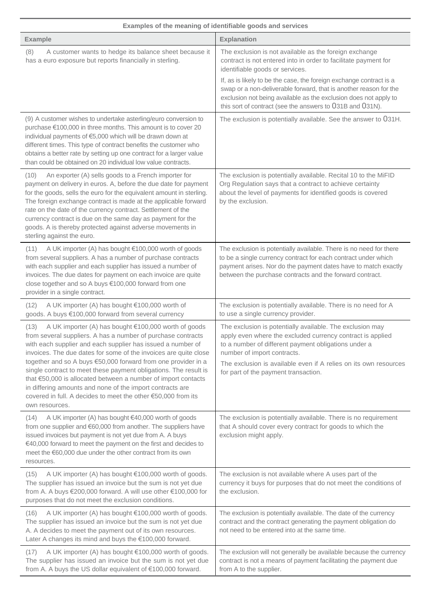| Examples of the meaning of identifiable goods and services                                                                                                                                                                                                                                                                                                                                                                                                                                                                                                                                                            |                                                                                                                                                                                                                                                                                                                                                                                                                                           |  |
|-----------------------------------------------------------------------------------------------------------------------------------------------------------------------------------------------------------------------------------------------------------------------------------------------------------------------------------------------------------------------------------------------------------------------------------------------------------------------------------------------------------------------------------------------------------------------------------------------------------------------|-------------------------------------------------------------------------------------------------------------------------------------------------------------------------------------------------------------------------------------------------------------------------------------------------------------------------------------------------------------------------------------------------------------------------------------------|--|
| <b>Example</b>                                                                                                                                                                                                                                                                                                                                                                                                                                                                                                                                                                                                        | <b>Explanation</b>                                                                                                                                                                                                                                                                                                                                                                                                                        |  |
| A customer wants to hedge its balance sheet because it<br>(8)<br>has a euro exposure but reports financially in sterling.                                                                                                                                                                                                                                                                                                                                                                                                                                                                                             | The exclusion is not available as the foreign exchange<br>contract is not entered into in order to facilitate payment for<br>identifiable goods or services.<br>If, as is likely to be the case, the foreign exchange contract is a<br>swap or a non-deliverable forward, that is another reason for the<br>exclusion not being available as the exclusion does not apply to<br>this sort of contract (see the answers to 031B and 031N). |  |
| (9) A customer wishes to undertake asterling/euro conversion to<br>purchase €100,000 in three months. This amount is to cover 20<br>individual payments of €5,000 which will be drawn down at<br>different times. This type of contract benefits the customer who<br>obtains a better rate by setting up one contract for a larger value<br>than could be obtained on 20 individual low value contracts.                                                                                                                                                                                                              | The exclusion is potentially available. See the answer to 031H.                                                                                                                                                                                                                                                                                                                                                                           |  |
| An exporter (A) sells goods to a French importer for<br>(10)<br>payment on delivery in euros. A, before the due date for payment<br>for the goods, sells the euro for the equivalent amount in sterling.<br>The foreign exchange contract is made at the applicable forward<br>rate on the date of the currency contract. Settlement of the<br>currency contract is due on the same day as payment for the<br>goods. A is thereby protected against adverse movements in<br>sterling against the euro.                                                                                                                | The exclusion is potentially available. Recital 10 to the MiFID<br>Org Regulation says that a contract to achieve certainty<br>about the level of payments for identified goods is covered<br>by the exclusion.                                                                                                                                                                                                                           |  |
| (11)<br>A UK importer (A) has bought €100,000 worth of goods<br>from several suppliers. A has a number of purchase contracts<br>with each supplier and each supplier has issued a number of<br>invoices. The due dates for payment on each invoice are quite<br>close together and so A buys €100,000 forward from one<br>provider in a single contract.                                                                                                                                                                                                                                                              | The exclusion is potentially available. There is no need for there<br>to be a single currency contract for each contract under which<br>payment arises. Nor do the payment dates have to match exactly<br>between the purchase contracts and the forward contract.                                                                                                                                                                        |  |
| A UK importer (A) has bought €100,000 worth of<br>(12)<br>goods. A buys €100,000 forward from several currency                                                                                                                                                                                                                                                                                                                                                                                                                                                                                                        | The exclusion is potentially available. There is no need for A<br>to use a single currency provider.                                                                                                                                                                                                                                                                                                                                      |  |
| A UK importer (A) has bought €100,000 worth of goods<br>(13)<br>from several suppliers. A has a number of purchase contracts<br>with each supplier and each supplier has issued a number of<br>invoices. The due dates for some of the invoices are quite close<br>together and so A buys €50,000 forward from one provider in a<br>single contract to meet these payment obligations. The result is<br>that €50,000 is allocated between a number of import contacts<br>in differing amounts and none of the import contracts are<br>covered in full. A decides to meet the other €50,000 from its<br>own resources. | The exclusion is potentially available. The exclusion may<br>apply even where the excluded currency contract is applied<br>to a number of different payment obligations under a<br>number of import contracts.<br>The exclusion is available even if A relies on its own resources<br>for part of the payment transaction.                                                                                                                |  |
| A UK importer (A) has bought €40,000 worth of goods<br>(14)<br>from one supplier and €60,000 from another. The suppliers have<br>issued invoices but payment is not yet due from A. A buys<br>€40,000 forward to meet the payment on the first and decides to<br>meet the €60,000 due under the other contract from its own<br>resources.                                                                                                                                                                                                                                                                             | The exclusion is potentially available. There is no requirement<br>that A should cover every contract for goods to which the<br>exclusion might apply.                                                                                                                                                                                                                                                                                    |  |
| A UK importer (A) has bought €100,000 worth of goods.<br>(15)<br>The supplier has issued an invoice but the sum is not yet due<br>from A. A buys €200,000 forward. A will use other €100,000 for<br>purposes that do not meet the exclusion conditions.                                                                                                                                                                                                                                                                                                                                                               | The exclusion is not available where A uses part of the<br>currency it buys for purposes that do not meet the conditions of<br>the exclusion.                                                                                                                                                                                                                                                                                             |  |
| A UK importer (A) has bought €100,000 worth of goods.<br>(16)<br>The supplier has issued an invoice but the sum is not yet due<br>A. A decides to meet the payment out of its own resources.<br>Later A changes its mind and buys the €100,000 forward.                                                                                                                                                                                                                                                                                                                                                               | The exclusion is potentially available. The date of the currency<br>contract and the contract generating the payment obligation do<br>not need to be entered into at the same time.                                                                                                                                                                                                                                                       |  |
| A UK importer (A) has bought €100,000 worth of goods.<br>(17)<br>The supplier has issued an invoice but the sum is not yet due<br>from A. A buys the US dollar equivalent of €100,000 forward.                                                                                                                                                                                                                                                                                                                                                                                                                        | The exclusion will not generally be available because the currency<br>contract is not a means of payment facilitating the payment due<br>from A to the supplier.                                                                                                                                                                                                                                                                          |  |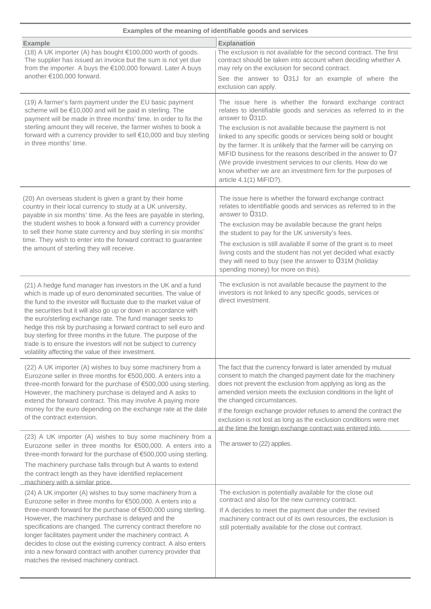| Examples of the meaning of identifiable goods and services                                                                                                                                                                                                                                                                                                                                                                                                                                                                                                                                                   |                                                                                                                                                                                                                                                                                                                                                                                                                                                                                                                                                                         |  |
|--------------------------------------------------------------------------------------------------------------------------------------------------------------------------------------------------------------------------------------------------------------------------------------------------------------------------------------------------------------------------------------------------------------------------------------------------------------------------------------------------------------------------------------------------------------------------------------------------------------|-------------------------------------------------------------------------------------------------------------------------------------------------------------------------------------------------------------------------------------------------------------------------------------------------------------------------------------------------------------------------------------------------------------------------------------------------------------------------------------------------------------------------------------------------------------------------|--|
| <b>Example</b>                                                                                                                                                                                                                                                                                                                                                                                                                                                                                                                                                                                               | <b>Explanation</b>                                                                                                                                                                                                                                                                                                                                                                                                                                                                                                                                                      |  |
| (18) A UK importer (A) has bought €100,000 worth of goods.<br>The supplier has issued an invoice but the sum is not yet due<br>from the importer. A buys the €100,000 forward. Later A buys<br>another €100,000 forward.                                                                                                                                                                                                                                                                                                                                                                                     | The exclusion is not available for the second contract. The first<br>contract should be taken into account when deciding whether A<br>may rely on the exclusion for second contract.<br>See the answer to 031J for an example of where the<br>exclusion can apply.                                                                                                                                                                                                                                                                                                      |  |
| (19) A farmer's farm payment under the EU basic payment<br>scheme will be €10,000 and will be paid in sterling. The<br>payment will be made in three months' time. In order to fix the<br>sterling amount they will receive, the farmer wishes to book a<br>forward with a currency provider to sell €10,000 and buy sterling<br>in three months' time.                                                                                                                                                                                                                                                      | The issue here is whether the forward exchange contract<br>relates to identifiable goods and services as referred to in the<br>answer to 031D.<br>The exclusion is not available because the payment is not<br>linked to any specific goods or services being sold or bought<br>by the farmer. It is unlikely that the farmer will be carrying on<br>MiFID business for the reasons described in the answer to 07<br>(We provide investment services to our clients. How do we<br>know whether we are an investment firm for the purposes of<br>article 4.1(1) MiFID?). |  |
| (20) An overseas student is given a grant by their home<br>country in their local currency to study at a UK university,<br>payable in six months' time. As the fees are payable in sterling,<br>the student wishes to book a forward with a currency provider<br>to sell their home state currency and buy sterling in six months'<br>time. They wish to enter into the forward contract to guarantee<br>the amount of sterling they will receive.                                                                                                                                                           | The issue here is whether the forward exchange contract<br>relates to identifiable goods and services as referred to in the<br>answer to 031D.<br>The exclusion may be available because the grant helps<br>the student to pay for the UK university's fees.<br>The exclusion is still available if some of the grant is to meet<br>living costs and the student has not yet decided what exactly<br>they will need to buy (see the answer to 031M (holiday<br>spending money) for more on this).                                                                       |  |
| (21) A hedge fund manager has investors in the UK and a fund<br>which is made up of euro denominated securities. The value of<br>the fund to the investor will fluctuate due to the market value of<br>the securities but it will also go up or down in accordance with<br>the euro/sterling exchange rate. The fund manager seeks to<br>hedge this risk by purchasing a forward contract to sell euro and<br>buy sterling for three months in the future. The purpose of the<br>trade is to ensure the investors will not be subject to currency<br>volatility affecting the value of their investment.     | The exclusion is not available because the payment to the<br>investors is not linked to any specific goods, services or<br>direct investment.                                                                                                                                                                                                                                                                                                                                                                                                                           |  |
| (22) A UK importer (A) wishes to buy some machinery from a<br>Eurozone seller in three months for €500,000. A enters into a<br>three-month forward for the purchase of €500,000 using sterling.<br>However, the machinery purchase is delayed and A asks to<br>extend the forward contract. This may involve A paying more<br>money for the euro depending on the exchange rate at the date<br>of the contract extension.                                                                                                                                                                                    | The fact that the currency forward is later amended by mutual<br>consent to match the changed payment date for the machinery<br>does not prevent the exclusion from applying as long as the<br>amended version meets the exclusion conditions in the light of<br>the changed circumstances.<br>If the foreign exchange provider refuses to amend the contract the<br>exclusion is not lost as long as the exclusion conditions were met<br>at the time the foreign exchange contract was entered into.                                                                  |  |
| (23) A UK importer (A) wishes to buy some machinery from a<br>Eurozone seller in three months for €500,000. A enters into a<br>three-month forward for the purchase of €500,000 using sterling.<br>The machinery purchase falls through but A wants to extend<br>the contract length as they have identified replacement                                                                                                                                                                                                                                                                                     | The answer to (22) applies.                                                                                                                                                                                                                                                                                                                                                                                                                                                                                                                                             |  |
| machinery with a similar price.<br>(24) A UK importer (A) wishes to buy some machinery from a<br>Eurozone seller in three months for €500,000. A enters into a<br>three-month forward for the purchase of €500,000 using sterling.<br>However, the machinery purchase is delayed and the<br>specifications are changed. The currency contract therefore no<br>longer facilitates payment under the machinery contract. A<br>decides to close out the existing currency contract. A also enters<br>into a new forward contract with another currency provider that<br>matches the revised machinery contract. | The exclusion is potentially available for the close out<br>contract and also for the new currency contract.<br>If A decides to meet the payment due under the revised<br>machinery contract out of its own resources, the exclusion is<br>still potentially available for the close out contract.                                                                                                                                                                                                                                                                      |  |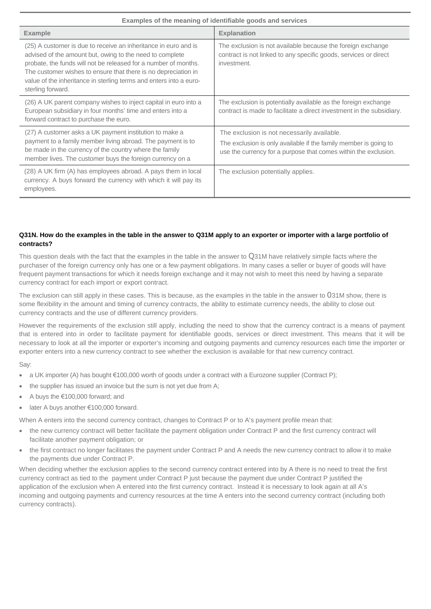| Examples of the meaning of identifiable goods and services                                                                                                                                                                                                                                                                                                  |                                                                                                                                                                                    |  |
|-------------------------------------------------------------------------------------------------------------------------------------------------------------------------------------------------------------------------------------------------------------------------------------------------------------------------------------------------------------|------------------------------------------------------------------------------------------------------------------------------------------------------------------------------------|--|
| <b>Example</b>                                                                                                                                                                                                                                                                                                                                              | <b>Explanation</b>                                                                                                                                                                 |  |
| (25) A customer is due to receive an inheritance in euro and is<br>advised of the amount but, owing to the need to complete<br>probate, the funds will not be released for a number of months.<br>The customer wishes to ensure that there is no depreciation in<br>value of the inheritance in sterling terms and enters into a euro-<br>sterling forward. | The exclusion is not available because the foreign exchange<br>contract is not linked to any specific goods, services or direct<br>investment.                                     |  |
| (26) A UK parent company wishes to inject capital in euro into a<br>European subsidiary in four months' time and enters into a<br>forward contract to purchase the euro.                                                                                                                                                                                    | The exclusion is potentially available as the foreign exchange<br>contract is made to facilitate a direct investment in the subsidiary.                                            |  |
| (27) A customer asks a UK payment institution to make a<br>payment to a family member living abroad. The payment is to<br>be made in the currency of the country where the family<br>member lives. The customer buys the foreign currency on a                                                                                                              | The exclusion is not necessarily available.<br>The exclusion is only available if the family member is going to<br>use the currency for a purpose that comes within the exclusion. |  |
| (28) A UK firm (A) has employees abroad. A pays them in local<br>currency. A buys forward the currency with which it will pay its<br>employees.                                                                                                                                                                                                             | The exclusion potentially applies.                                                                                                                                                 |  |

# **Q31N. How do the examples in the table in the answer to Q31M apply to an exporter or importer with a large portfolio of contracts?**

This question deals with the fact that the examples in the table in the answer to Q31M have relatively simple facts where the purchaser of the foreign currency only has one or a few payment obligations. In many cases a seller or buyer of goods will have frequent payment transactions for which it needs foreign exchange and it may not wish to meet this need by having a separate currency contract for each import or export contract.

The exclusion can still apply in these cases. This is because, as the examples in the table in the answer to 031M show, there is some flexibility in the amount and timing of currency contracts, the ability to estimate currency needs, the ability to close out currency contracts and the use of different currency providers.

However the requirements of the exclusion still apply, including the need to show that the currency contract is a means of payment that is entered into in order to facilitate payment for identifiable goods, services or direct investment. This means that it will be necessary to look at all the importer or exporter's incoming and outgoing payments and currency resources each time the importer or exporter enters into a new currency contract to see whether the exclusion is available for that new currency contract.

#### Say:

- a UK importer (A) has bought €100,000 worth of goods under a contract with a Eurozone supplier (Contract P);
- the supplier has issued an invoice but the sum is not yet due from A;
- A buys the €100,000 forward; and
- later A buys another €100,000 forward.

When A enters into the second currency contract, changes to Contract P or to A's payment profile mean that:

- the new currency contract will better facilitate the payment obligation under Contract P and the first currency contract will facilitate another payment obligation; or
- the first contract no longer facilitates the payment under Contract P and A needs the new currency contract to allow it to make the payments due under Contract P.

When deciding whether the exclusion applies to the second currency contract entered into by A there is no need to treat the first currency contract as tied to the payment under Contract P just because the payment due under Contract P justified the application of the exclusion when A entered into the first currency contract. Instead it is necessary to look again at all A's incoming and outgoing payments and currency resources at the time A enters into the second currency contract (including both currency contracts).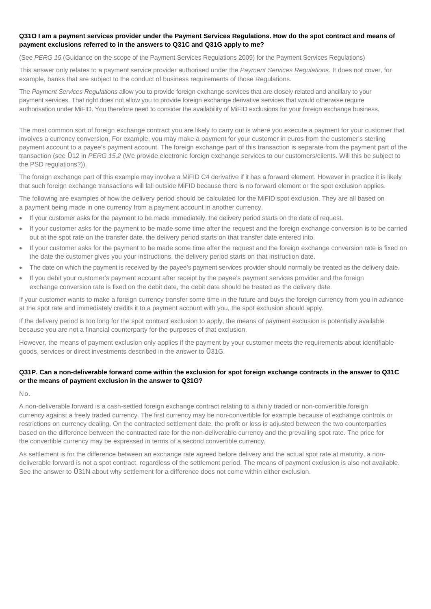# **Q31O I am a payment services provider under the Payment Services Regulations. How do the spot contract and means of payment exclusions referred to in the answers to Q31C and Q31G apply to me?**

(See *PERG 15* (Guidance on the scope of the Payment Services Regulations 2009) for the Payment Services Regulations)

This answer only relates to a payment service provider authorised under the *Payment Services Regulations.* It does not cover, for example, banks that are subject to the conduct of business requirements of those Regulations.

The *Payment Services Regulations* allow you to provide foreign exchange services that are closely related and ancillary to your payment services. That right does not allow you to provide foreign exchange derivative services that would otherwise require authorisation under MiFID. You therefore need to consider the availability of MiFID exclusions for your foreign exchange business.

The most common sort of foreign exchange contract you are likely to carry out is where you execute a payment for your customer that involves a currency conversion. For example, you may make a payment for your customer in euros from the customer's sterling payment account to a payee's payment account. The foreign exchange part of this transaction is separate from the payment part of the transaction (see 012 in *PERG 15.2* (We provide electronic foreign exchange services to our customers/clients. Will this be subject to the PSD regulations?)).

The foreign exchange part of this example may involve a MiFID C4 derivative if it has a forward element. However in practice it is likely that such foreign exchange transactions will fall outside MiFID because there is no forward element or the spot exclusion applies.

The following are examples of how the delivery period should be calculated for the MiFID spot exclusion. They are all based on a payment being made in one currency from a payment account in another currency.

- If your customer asks for the payment to be made immediately, the delivery period starts on the date of request.
- If your customer asks for the payment to be made some time after the request and the foreign exchange conversion is to be carried out at the spot rate on the transfer date, the delivery period starts on that transfer date entered into.
- If your customer asks for the payment to be made some time after the request and the foreign exchange conversion rate is fixed on the date the customer gives you your instructions, the delivery period starts on that instruction date.
- The date on which the payment is received by the payee's payment services provider should normally be treated as the delivery date.
- If you debit your customer's payment account after receipt by the payee's payment services provider and the foreign exchange conversion rate is fixed on the debit date, the debit date should be treated as the delivery date.

If your customer wants to make a foreign currency transfer some time in the future and buys the foreign currency from you in advance at the spot rate and immediately credits it to a payment account with you, the spot exclusion should apply.

If the delivery period is too long for the spot contract exclusion to apply, the means of payment exclusion is potentially available because you are not a financial counterparty for the purposes of that exclusion.

However, the means of payment exclusion only applies if the payment by your customer meets the requirements about identifiable goods, services or direct investments described in the answer to 031G.

# **Q31P. Can a non-deliverable forward come within the exclusion for spot foreign exchange contracts in the answer to Q31C or the means of payment exclusion in the answer to Q31G?**

No.

A non-deliverable forward is a cash-settled foreign exchange contract relating to a thinly traded or non-convertible foreign currency against a freely traded currency. The first currency may be non-convertible for example because of exchange controls or restrictions on currency dealing. On the contracted settlement date, the profit or loss is adjusted between the two counterparties based on the difference between the contracted rate for the non-deliverable currency and the prevailing spot rate. The price for the convertible currency may be expressed in terms of a second convertible currency.

As settlement is for the difference between an exchange rate agreed before delivery and the actual spot rate at maturity, a nondeliverable forward is not a spot contract, regardless of the settlement period. The means of payment exclusion is also not available. See the answer to 031N about why settlement for a difference does not come within either exclusion.